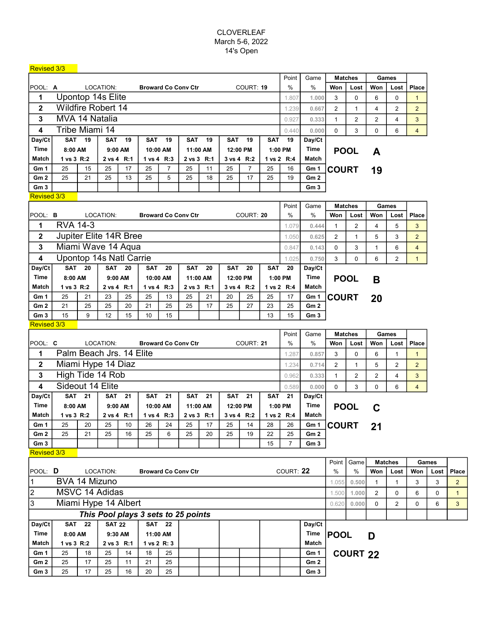## CLOVERLEAF March 5-6, 2022 14's Open

| <b>Revised 3/3</b> |                                                                 |                                                                                                   |               |               |                                     |                            |            |            |               |                |            |                |                 |                |                 |                |                |                |       |
|--------------------|-----------------------------------------------------------------|---------------------------------------------------------------------------------------------------|---------------|---------------|-------------------------------------|----------------------------|------------|------------|---------------|----------------|------------|----------------|-----------------|----------------|-----------------|----------------|----------------|----------------|-------|
|                    |                                                                 |                                                                                                   |               |               |                                     |                            |            |            |               |                |            | Point          | Game            |                | <b>Matches</b>  |                | Games          |                |       |
| POOL: A            |                                                                 |                                                                                                   | LOCATION:     |               |                                     | <b>Broward Co Conv Ctr</b> |            |            |               | COURT: 19      |            | $\%$           | $\%$            | Won            | Lost            | Won            | Lost           | <b>Place</b>   |       |
| 1                  | Upontop 14s Elite                                               |                                                                                                   |               |               |                                     |                            |            |            |               |                |            | 1.807          | 1.000           | 3              | 0               | 6              | 0              | $\mathbf{1}$   |       |
| $\mathbf 2$        | <b>Wildfire Robert 14</b>                                       |                                                                                                   |               |               |                                     |                            |            |            |               |                |            | 1.239          | 0.667           | $\overline{2}$ | $\mathbf{1}$    | 4              | 2              | $\overline{2}$ |       |
| 3                  | MVA 14 Natalia                                                  |                                                                                                   |               |               |                                     |                            |            |            |               |                |            | 0.927          | 0.333           | 1              | $\overline{c}$  | $\overline{2}$ | 4              | 3              |       |
| 4                  | Tribe Miami 14                                                  |                                                                                                   |               |               |                                     |                            |            |            |               |                |            |                |                 | $\Omega$       | 3               | $\Omega$       | 6              | $\overline{4}$ |       |
| Day/Ct             |                                                                 | <b>SAT 19</b><br><b>SAT 19</b><br><b>SAT</b><br>19<br><b>SAT</b><br>19<br>SAT<br>19<br><b>SAT</b> |               |               |                                     |                            |            |            |               |                |            |                |                 |                |                 |                |                |                |       |
| Time               | 8:00 AM                                                         | 9:00 AM<br>10:00 AM<br>11:00 AM<br>12:00 PM                                                       |               |               |                                     |                            |            |            | 19<br>1:00 PM | Day/Ct<br>Time |            | <b>POOL</b>    |                 |                |                 |                |                |                |       |
| Match              | 1 vs 3 R:2                                                      |                                                                                                   |               | 2 vs 4 R:1    |                                     | 1 vs 4 R:3                 |            | 2 vs 3 R:1 |               | 3 vs 4 R:2     |            | 1 vs 2 R:4     | Match           |                |                 | A              |                |                |       |
| Gm 1               | 25                                                              | 15                                                                                                | 25            | 17            | 25                                  | $\overline{7}$             | 25         | 11         | 25            | $\overline{7}$ | 25         | 16             | Gm 1            | <b>COURT</b>   |                 |                |                |                |       |
| Gm <sub>2</sub>    | 25                                                              | 21                                                                                                | 25            | 13            | 25                                  | 5                          | 25         | 18         | 25            | 17             | 25         | 19             | Gm <sub>2</sub> |                |                 | 19             |                |                |       |
| Gm3                |                                                                 |                                                                                                   |               |               |                                     |                            |            |            |               |                |            |                | Gm <sub>3</sub> |                |                 |                |                |                |       |
| Revised 3/3        |                                                                 |                                                                                                   |               |               |                                     |                            |            |            |               |                |            |                |                 |                |                 |                |                |                |       |
|                    |                                                                 |                                                                                                   |               |               |                                     |                            |            |            |               |                |            | Point          | Game            |                | <b>Matches</b>  |                | Games          |                |       |
|                    | POOL: B<br>LOCATION:<br><b>Broward Co Conv Ctr</b><br>COURT: 20 |                                                                                                   |               |               |                                     |                            |            |            |               | $\%$           | %          | Won            | Lost            | Won            | Lost            | <b>Place</b>   |                |                |       |
| 1                  |                                                                 | <b>RVA 14-3</b>                                                                                   |               |               |                                     |                            |            |            |               |                |            | 1.079          | 0.444           | $\mathbf{1}$   | $\overline{c}$  | $\overline{4}$ | 5              | 3              |       |
| 2                  | Jupiter Elite 14R Bree                                          |                                                                                                   |               |               |                                     |                            |            |            |               |                | 1.050      | 0.625          | 2               | $\mathbf{1}$   | 5               | 3              | $\overline{2}$ |                |       |
|                    |                                                                 |                                                                                                   |               |               |                                     |                            |            |            |               |                |            |                | 0.143           |                |                 |                |                |                |       |
| 3                  | Miami Wave 14 Aqua                                              |                                                                                                   |               |               |                                     |                            |            |            |               |                |            |                |                 | $\Omega$       | 3               | $\mathbf{1}$   | 6              | $\overline{4}$ |       |
| 4                  |                                                                 | Upontop 14s Natl Carrie                                                                           |               |               |                                     |                            |            |            |               |                |            |                | 0.750           | 3              | 0               | 6              | 2              | $\mathbf{1}$   |       |
| Day/Ct             |                                                                 | <b>SAT 20</b><br><b>SAT 20</b><br>SAT<br>20<br><b>SAT</b><br>20<br><b>SAT</b><br>20<br><b>SAT</b> |               |               |                                     |                            |            |            |               |                |            | 20             | Day/Ct          |                |                 |                |                |                |       |
| Time               | 8:00 AM                                                         |                                                                                                   |               | 9:00 AM       |                                     | 10:00 AM                   |            | 11:00 AM   |               | 12:00 PM       |            | 1:00 PM        | Time            |                | <b>POOL</b>     | B              |                |                |       |
| Match              | 1 vs 3 R:2                                                      |                                                                                                   |               | 2 vs 4 R:1    |                                     | 1 vs 4 R:3                 |            | 2 vs 3 R:1 |               | 3 vs 4 R:2     |            | 1 vs 2 R:4     | Match           |                |                 |                |                |                |       |
| Gm <sub>1</sub>    | 25                                                              | 21                                                                                                | 23            | 25            | 25                                  | 13                         | 25         | 21         | 20            | 25             | 25         | 17             | Gm 1            | <b>COURT</b>   |                 | 20             |                |                |       |
| Gm <sub>2</sub>    | 21                                                              | 25                                                                                                | 25            | 20            | 21                                  | 25                         | 25         | 17         | 25            | 27             | 23         | 25             | Gm <sub>2</sub> |                |                 |                |                |                |       |
| Gm <sub>3</sub>    | 15                                                              | 9                                                                                                 | 12            | 15            | 10                                  | 15                         |            |            |               |                | 13         | 15             | Gm <sub>3</sub> |                |                 |                |                |                |       |
| Revised 3/3        |                                                                 |                                                                                                   |               |               |                                     |                            |            |            |               |                |            | Point          |                 |                |                 |                |                |                |       |
|                    |                                                                 |                                                                                                   |               |               |                                     |                            |            |            |               |                |            |                | Game<br>$\%$    |                | <b>Matches</b>  |                | Games          |                |       |
| POOL: C            | LOCATION:<br><b>Broward Co Conv Ctr</b><br>COURT: 21            |                                                                                                   |               |               |                                     |                            |            |            |               |                |            | $\%$<br>1.287  |                 | Won            | Lost            | Won            | Lost           | Place          |       |
|                    | Palm Beach Jrs. 14 Elite<br>1                                   |                                                                                                   |               |               |                                     |                            |            |            |               |                |            |                | 0.857           | 3              | 0               | 6              | $\mathbf{1}$   | $\mathbf{1}$   |       |
| 2                  | Miami Hype 14 Diaz                                              |                                                                                                   |               |               |                                     |                            |            |            |               |                |            |                |                 | $\overline{2}$ | $\mathbf{1}$    | 5              | $\overline{2}$ | $\overline{2}$ |       |
| 3                  | High Tide 14 Rob                                                |                                                                                                   |               |               |                                     |                            |            |            |               |                |            | 0.962          | 0.333           | $\mathbf{1}$   | $\overline{2}$  | $\overline{2}$ | 4              | 3              |       |
| 4                  | Sideout 14 Elite                                                |                                                                                                   |               |               |                                     |                            |            |            |               |                |            | 0.589          | 0.000           | $\mathbf 0$    | 3               | $\mathbf 0$    | 6              | $\overline{4}$ |       |
| Day/Ct             |                                                                 | <b>SAT 21</b>                                                                                     |               | <b>SAT 21</b> |                                     | <b>SAT 21</b>              | <b>SAT</b> | 21         | <b>SAT</b>    | 21             | <b>SAT</b> | 21             | Day/Ct          |                |                 |                |                |                |       |
| Time               | 8:00 AM                                                         |                                                                                                   |               | 9:00 AM       |                                     | 10:00 AM                   |            | 11:00 AM   |               | 12:00 PM       |            | 1:00 PM        | Time            |                | <b>POOL</b>     | C              |                |                |       |
| Match              | 1 vs 3 R:2                                                      |                                                                                                   |               | 2 vs 4 R:1    |                                     | 1 vs 4 R:3                 |            | 2 vs 3 R:1 |               | 3 vs 4 R:2     |            | 1 vs 2 R:4     | Match           |                |                 |                |                |                |       |
| Gm 1               | 25                                                              | 20                                                                                                | 25            | 10            | 26                                  | 24                         | 25         | 17         | 25            | 14             | 28         | 26             | Gm 1            |                | <b>COURT</b>    | 21             |                |                |       |
| Gm <sub>2</sub>    | 25                                                              | 21                                                                                                | 25            | 16            | 25                                  | 6                          | 25         | 20         | 25            | 19             | 22         | 25             | Gm <sub>2</sub> |                |                 |                |                |                |       |
| Gm <sub>3</sub>    |                                                                 |                                                                                                   |               |               |                                     |                            |            |            |               |                | 15         | $\overline{7}$ | Gm <sub>3</sub> |                |                 |                |                |                |       |
| Revised 3/3        |                                                                 |                                                                                                   |               |               |                                     |                            |            |            |               |                |            |                |                 |                |                 |                |                |                |       |
|                    |                                                                 |                                                                                                   |               |               |                                     |                            |            |            |               |                |            |                |                 | Point          | Game            |                | <b>Matches</b> |                | Games |
| POOL: D            |                                                                 |                                                                                                   | LOCATION:     |               |                                     | <b>Broward Co Conv Ctr</b> |            |            |               |                |            | COURT: 22      |                 | %              | $\%$            | Won            | Lost           | Won            | Lost  |
| 1                  | BVA 14 Mizuno                                                   |                                                                                                   |               |               |                                     |                            |            |            |               |                |            |                |                 | 1.055          | 0.500           | $\mathbf{1}$   | $\mathbf{1}$   | 3              | 3     |
| $\overline{c}$     | <b>MSVC 14 Adidas</b>                                           |                                                                                                   |               |               |                                     |                            |            |            |               |                |            |                |                 | 1.500          | 1.000           | 2              | 0              | 6              | 0     |
| 3                  | Miami Hype 14 Albert                                            |                                                                                                   |               |               |                                     |                            |            |            |               |                |            |                |                 | 0.620          | 0.000           | $\mathbf 0$    | $\overline{2}$ | 0              | 6     |
|                    |                                                                 |                                                                                                   |               |               | This Pool plays 3 sets to 25 points |                            |            |            |               |                |            |                |                 |                |                 |                |                |                |       |
| Day/Ct             |                                                                 | <b>SAT 22</b>                                                                                     | <b>SAT 22</b> |               |                                     | <b>SAT 22</b>              |            |            |               |                |            |                | Day/Ct          |                |                 |                |                |                |       |
| Time               | 8:00 AM                                                         |                                                                                                   |               | 9:30 AM       |                                     | 11:00 AM                   |            |            |               |                |            |                | <b>Time</b>     | <b>POOL</b>    |                 |                |                |                |       |
| Match              | 1 vs 3 R:2                                                      |                                                                                                   |               | 2 vs 3 R:1    |                                     | 1 vs 2 R: 3                |            |            |               |                |            |                | Match           |                |                 | D              |                |                |       |
| Gm 1               | 25                                                              | 18                                                                                                | 25            | 14            | 18                                  | 25                         |            |            |               |                |            |                | Gm 1            |                | <b>COURT 22</b> |                |                |                |       |
| Gm <sub>2</sub>    | 25                                                              | 17                                                                                                | 25            | 11            | 21                                  | 25                         |            |            |               |                |            |                | Gm <sub>2</sub> |                |                 |                |                |                |       |
| Gm <sub>3</sub>    | 25                                                              | 17                                                                                                | 25            | 16            | 20                                  | 25                         |            |            |               |                |            |                | Gm <sub>3</sub> |                |                 |                |                |                |       |
|                    |                                                                 |                                                                                                   |               |               |                                     |                            |            |            |               |                |            |                |                 |                |                 |                |                |                |       |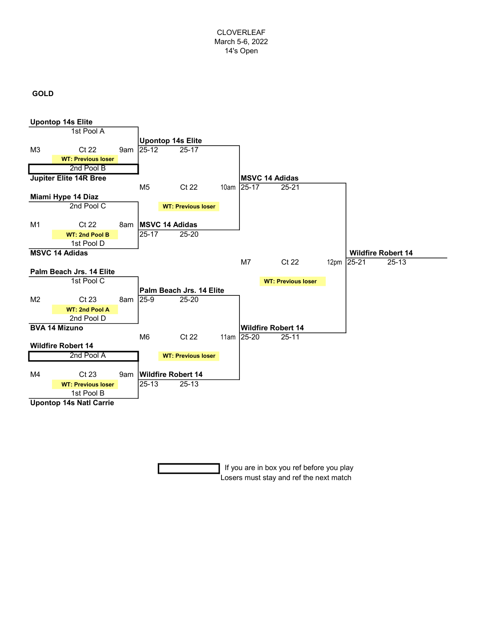## GOLD



 If you are in box you ref before you play Losers must stay and ref the next match